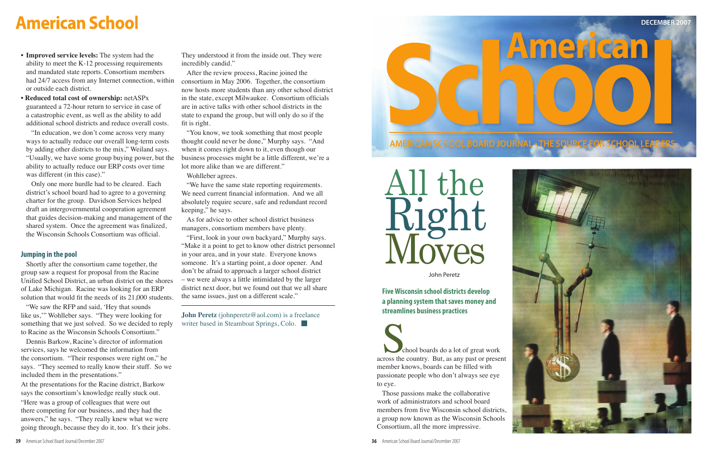





John Peretz

School boards do a lot of great work<br>
across the country. But, as any past or present member knows, boards can be filled with passionate people who don't always see eye to eye.

Those passions make the collaborative work of administrators and school board members from five Wisconsin school districts, a group now known as the Wisconsin Schools Consortium, all the more impressive.

 **Five Wisconsin school districts develop a planning system that saves money and streamlines business practices**

# **American School**

- • **Improved service levels:** The system had the ability to meet the  $K-12$  processing requirements and mandated state reports. Consortium members had 24/7 access from any Internet connection, within or outside each district.
- • **Reduced total cost of ownership:** netASPx guaranteed a 72-hour return to service in case of a catastrophic event, as well as the ability to add additional school districts and reduce overall costs.

"In education, we don't come across very many ways to actually reduce our overall long-term costs by adding other districts to the mix," Weiland says. "Usually, we have some group buying power, but the ability to actually reduce our ERP costs over time was different (in this case)."

Only one more hurdle had to be cleared. Each district's school board had to agree to a governing charter for the group. Davidson Services helped draft an intergovernmental cooperation agreement that guides decision-making and management of the shared system. Once the agreement was finalized, the Wisconsin Schools Consortium was official.

## **Jumping in the pool**

Shortly after the consortium came together, the group saw a request for proposal from the Racine Unified School District, an urban district on the shores of Lake Michigan. Racine was looking for an ERP solution that would fit the needs of its 21,000 students.

"We saw the RFP and said, 'Hey that sounds like us," Wohlleber says. "They were looking for something that we just solved. So we decided to reply to Racine as the Wisconsin Schools Consortium."

Dennis Barkow, Racine's director of information services, says he welcomed the information from the consortium. "Their responses were right on," he says. "They seemed to really know their stuff. So we included them in the presentations." At the presentations for the Racine district, Barkow says the consortium's knowledge really stuck out. "Here was a group of colleagues that were out there competing for our business, and they had the answers," he says. "They really knew what we were going through, because they do it, too. It's their jobs.

They understood it from the inside out. They were incredibly candid."

After the review process, Racine joined the consortium in May 2006. Together, the consortium now hosts more students than any other school district in the state, except Milwaukee. Consortium officials are in active talks with other school districts in the state to expand the group, but will only do so if the fit is right.

"You know, we took something that most people thought could never be done," Murphy says. "And when it comes right down to it, even though our business processes might be a little different, we're a lot more alike than we are different."

Wohlleber agrees.

"We have the same state reporting requirements. We need current financial information. And we all absolutely require secure, safe and redundant record keeping," he says.

As for advice to other school district business managers, consortium members have plenty.

"First, look in your own backyard," Murphy says. "Make it a point to get to know other district personnel in your area, and in your state. Everyone knows someone. It's a starting point, a door opener. And don't be afraid to approach a larger school district – we were always a little intimidated by the larger district next door, but we found out that we all share the same issues, just on a different scale."

**John Peretz** (johnperetz@aol.com) is a freelance writer based in Steamboat Springs, Colo.